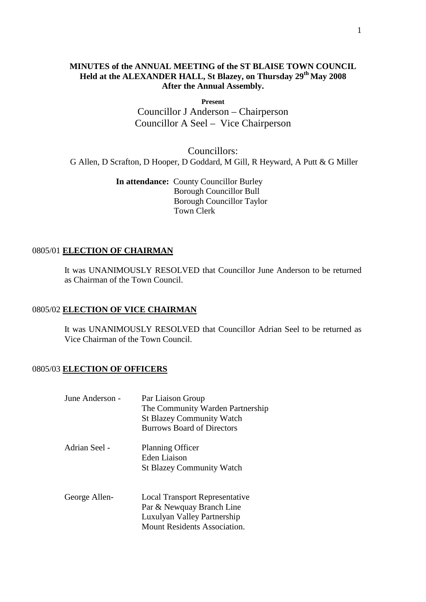# **MINUTES of the ANNUAL MEETING of the ST BLAISE TOWN COUNCIL Held at the ALEXANDER HALL, St Blazey, on Thursday 29th May 2008 After the Annual Assembly.**

**Present**

Councillor J Anderson – Chairperson Councillor A Seel – Vice Chairperson

Councillors: G Allen, D Scrafton, D Hooper, D Goddard, M Gill, R Heyward, A Putt & G Miller

> **In attendance:** County Councillor Burley Borough Councillor Bull Borough Councillor Taylor Town Clerk

## 0805/01 **ELECTION OF CHAIRMAN**

It was UNANIMOUSLY RESOLVED that Councillor June Anderson to be returned as Chairman of the Town Council.

# 0805/02 **ELECTION OF VICE CHAIRMAN**

It was UNANIMOUSLY RESOLVED that Councillor Adrian Seel to be returned as Vice Chairman of the Town Council.

# 0805/03 **ELECTION OF OFFICERS**

| June Anderson - | Par Liaison Group<br>The Community Warden Partnership<br><b>St Blazey Community Watch</b><br><b>Burrows Board of Directors</b>           |
|-----------------|------------------------------------------------------------------------------------------------------------------------------------------|
| Adrian Seel -   | <b>Planning Officer</b><br>Eden Liaison<br><b>St Blazey Community Watch</b>                                                              |
| George Allen-   | <b>Local Transport Representative</b><br>Par & Newquay Branch Line<br>Luxulyan Valley Partnership<br><b>Mount Residents Association.</b> |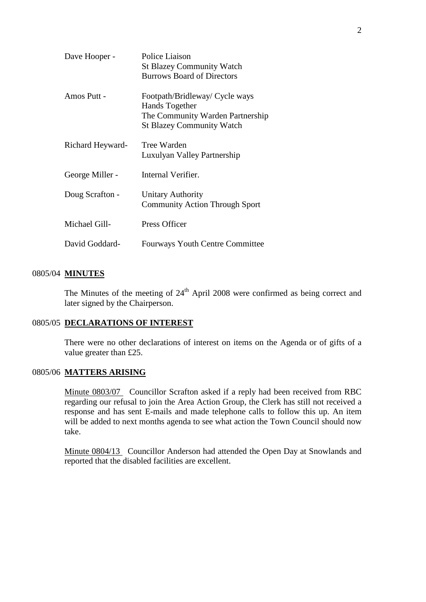| Dave Hooper -    | Police Liaison<br><b>St Blazey Community Watch</b><br><b>Burrows Board of Directors</b>                                  |
|------------------|--------------------------------------------------------------------------------------------------------------------------|
| Amos Putt -      | Footpath/Bridleway/ Cycle ways<br>Hands Together<br>The Community Warden Partnership<br><b>St Blazey Community Watch</b> |
| Richard Heyward- | Tree Warden<br>Luxulyan Valley Partnership                                                                               |
| George Miller -  | Internal Verifier.                                                                                                       |
| Doug Scrafton -  | <b>Unitary Authority</b><br><b>Community Action Through Sport</b>                                                        |
| Michael Gill-    | Press Officer                                                                                                            |
| David Goddard-   | <b>Fourways Youth Centre Committee</b>                                                                                   |

# 0805/04 **MINUTES**

The Minutes of the meeting of  $24<sup>th</sup>$  April 2008 were confirmed as being correct and later signed by the Chairperson.

#### 0805/05 **DECLARATIONS OF INTEREST**

There were no other declarations of interest on items on the Agenda or of gifts of a value greater than £25.

## 0805/06 **MATTERS ARISING**

Minute 0803/07 Councillor Scrafton asked if a reply had been received from RBC regarding our refusal to join the Area Action Group, the Clerk has still not received a response and has sent E-mails and made telephone calls to follow this up. An item will be added to next months agenda to see what action the Town Council should now take.

Minute 0804/13 Councillor Anderson had attended the Open Day at Snowlands and reported that the disabled facilities are excellent.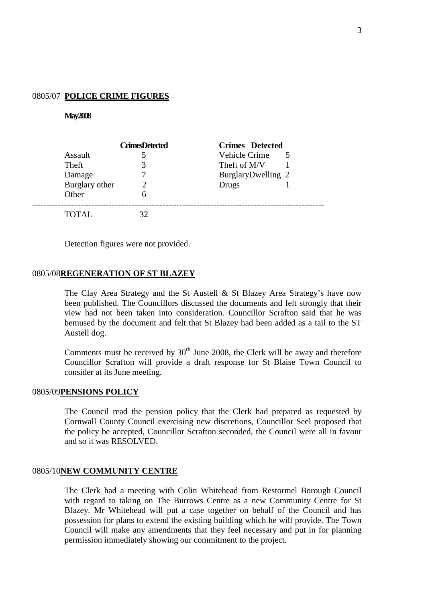### 0805/07 **POLICE CRIME FIGURES**

#### **May 2008**

|                | <b>CrimesDetected</b> | <b>Crimes</b> Detected |
|----------------|-----------------------|------------------------|
| Assault        |                       | Vehicle Crime          |
| Theft          | 3                     | Theft of M/V           |
| Damage         |                       | BurglaryDwelling 2     |
| Burglary other |                       | Drugs                  |
| Other          | h                     |                        |
| <b>TOTAL</b>   | 32                    |                        |

Detection figures were not provided.

#### 0805/08**REGENERATION OF ST BLAZEY**

The Clay Area Strategy and the St Austell & St Blazey Area Strategy's have now been published. The Councillors discussed the documents and felt strongly that their view had not been taken into consideration. Councillor Scrafton said that he was bemused by the document and felt that St Blazey had been added as a tail to the ST Austell dog.

Comments must be received by  $30<sup>th</sup>$  June 2008, the Clerk will be away and therefore Councillor Scrafton will provide a draft response for St Blaise Town Council to consider at its June meeting.

#### 0805/09**PENSIONS POLICY**

The Council read the pension policy that the Clerk had prepared as requested by Cornwall County Council exercising new discretions, Councillor Seel proposed that the policy be accepted, Councillor Scrafton seconded, the Council were all in favour and so it was RESOLVED.

#### 0805/10**NEW COMMUNITY CENTRE**

The Clerk had a meeting with Colin Whitehead from Restormel Borough Council with regard to taking on The Burrows Centre as a new Community Centre for St Blazey. Mr Whitehead will put a case together on behalf of the Council and has possession for plans to extend the existing building which he will provide. The Town Council will make any amendments that they feel necessary and put in for planning permission immediately showing our commitment to the project.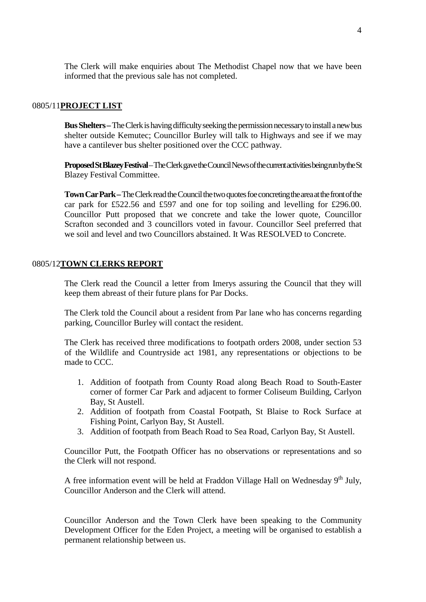The Clerk will make enquiries about The Methodist Chapel now that we have been informed that the previous sale has not completed.

## 0805/11**PROJECT LIST**

**Bus Shelters–** TheClerk is having difficulty seeking the permission necessary to install a new bus shelter outside Kemutec; Councillor Burley will talk to Highways and see if we may have a cantilever bus shelter positioned over the CCC pathway.

**Proposed St Blazey Festival**–The Clerk gave the Council News of the current activities being run by the St Blazey Festival Committee.

**Town Car Park –**The Clerk read the Council the two quotes foe concreting the area at the front of the car park for £522.56 and £597 and one for top soiling and levelling for £296.00. Councillor Putt proposed that we concrete and take the lower quote, Councillor Scrafton seconded and 3 councillors voted in favour. Councillor Seel preferred that we soil and level and two Councillors abstained. It Was RESOLVED to Concrete.

# 0805/12**TOWN CLERKS REPORT**

The Clerk read the Council a letter from Imerys assuring the Council that they will keep them abreast of their future plans for Par Docks.

The Clerk told the Council about a resident from Par lane who has concerns regarding parking, Councillor Burley will contact the resident.

The Clerk has received three modifications to footpath orders 2008, under section 53 of the Wildlife and Countryside act 1981, any representations or objections to be made to CCC.

- 1. Addition of footpath from County Road along Beach Road to South-Easter corner of former Car Park and adjacent to former Coliseum Building, Carlyon Bay, St Austell.
- 2. Addition of footpath from Coastal Footpath, St Blaise to Rock Surface at Fishing Point, Carlyon Bay, St Austell.
- 3. Addition of footpath from Beach Road to Sea Road, Carlyon Bay, St Austell.

Councillor Putt, the Footpath Officer has no observations or representations and so the Clerk will not respond.

A free information event will be held at Fraddon Village Hall on Wednesday  $9<sup>th</sup>$  July, Councillor Anderson and the Clerk will attend.

Councillor Anderson and the Town Clerk have been speaking to the Community Development Officer for the Eden Project, a meeting will be organised to establish a permanent relationship between us.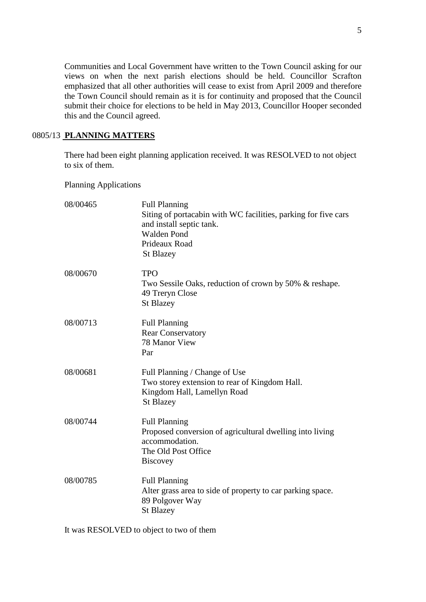Communities and Local Government have written to the Town Council asking for our views on when the next parish elections should be held. Councillor Scrafton emphasized that all other authorities will cease to exist from April 2009 and therefore the Town Council should remain as it is for continuity and proposed that the Council submit their choice for elections to be held in May 2013, Councillor Hooper seconded this and the Council agreed.

## 0805/13 **PLANNING MATTERS**

There had been eight planning application received. It was RESOLVED to not object to six of them.

Planning Applications

| 08/00465 | <b>Full Planning</b><br>Siting of portacabin with WC facilities, parking for five cars<br>and install septic tank.<br><b>Walden Pond</b><br>Prideaux Road<br><b>St Blazey</b> |
|----------|-------------------------------------------------------------------------------------------------------------------------------------------------------------------------------|
| 08/00670 | <b>TPO</b><br>Two Sessile Oaks, reduction of crown by 50% & reshape.<br>49 Treryn Close<br><b>St Blazey</b>                                                                   |
| 08/00713 | <b>Full Planning</b><br><b>Rear Conservatory</b><br>78 Manor View<br>Par                                                                                                      |
| 08/00681 | Full Planning / Change of Use<br>Two storey extension to rear of Kingdom Hall.<br>Kingdom Hall, Lamellyn Road<br><b>St Blazey</b>                                             |
| 08/00744 | <b>Full Planning</b><br>Proposed conversion of agricultural dwelling into living<br>accommodation.<br>The Old Post Office<br><b>Biscovey</b>                                  |
| 08/00785 | <b>Full Planning</b><br>Alter grass area to side of property to car parking space.<br>89 Polgover Way<br><b>St Blazey</b>                                                     |

It was RESOLVED to object to two of them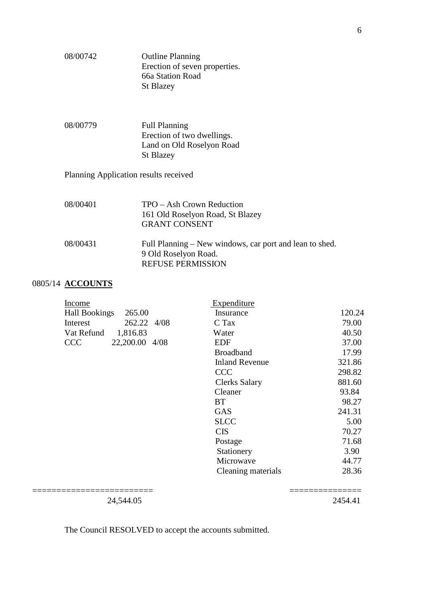| 08/00742                              | <b>Outline Planning</b><br>Erection of seven properties.<br>66a Station Road<br><b>St Blazey</b>            |  |  |
|---------------------------------------|-------------------------------------------------------------------------------------------------------------|--|--|
| 08/00779                              | <b>Full Planning</b><br>Erection of two dwellings.<br>Land on Old Roselyon Road<br><b>St Blazey</b>         |  |  |
| Planning Application results received |                                                                                                             |  |  |
| 08/00401                              | TPO – Ash Crown Reduction<br>161 Old Roselyon Road, St Blazey<br><b>GRANT CONSENT</b>                       |  |  |
| 08/00431                              | Full Planning – New windows, car port and lean to shed.<br>9 Old Roselyon Road.<br><b>REFUSE PERMISSION</b> |  |  |
|                                       |                                                                                                             |  |  |

# 0805/14 **ACCOUNTS**

| Income               |                | Expenditure           |        |       |
|----------------------|----------------|-----------------------|--------|-------|
| <b>Hall Bookings</b> | 265.00         | Insurance             | 120.24 |       |
| Interest             | 262.22 4/08    | C Tax                 |        | 79.00 |
| Vat Refund           | 1,816.83       | Water                 |        | 40.50 |
| <b>CCC</b>           | 22,200.00 4/08 | <b>EDF</b>            |        | 37.00 |
|                      |                | <b>Broadband</b>      |        | 17.99 |
|                      |                | <b>Inland Revenue</b> | 321.86 |       |
|                      |                | <b>CCC</b>            | 298.82 |       |
|                      |                | <b>Clerks Salary</b>  | 881.60 |       |
|                      |                | Cleaner               | 93.84  |       |
|                      |                | <b>BT</b>             | 98.27  |       |
|                      |                | <b>GAS</b>            | 241.31 |       |
|                      |                | <b>SLCC</b>           |        | 5.00  |
|                      |                | <b>CIS</b>            |        | 70.27 |
|                      |                | Postage               |        | 71.68 |
|                      |                | Stationery            |        | 3.90  |
|                      |                | Microwave             | 44.77  |       |
|                      |                | Cleaning materials    |        | 28.36 |
|                      |                |                       |        |       |
|                      |                |                       |        |       |

24,544.05 2454.41

The Council RESOLVED to accept the accounts submitted.